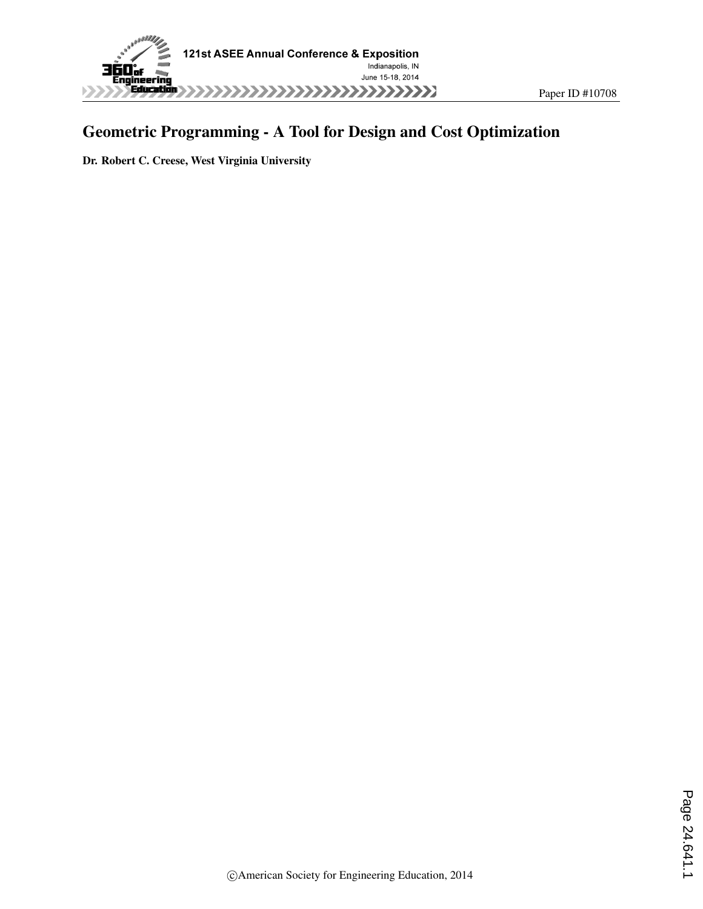

# Geometric Programming - A Tool for Design and Cost Optimization

Dr. Robert C. Creese, West Virginia University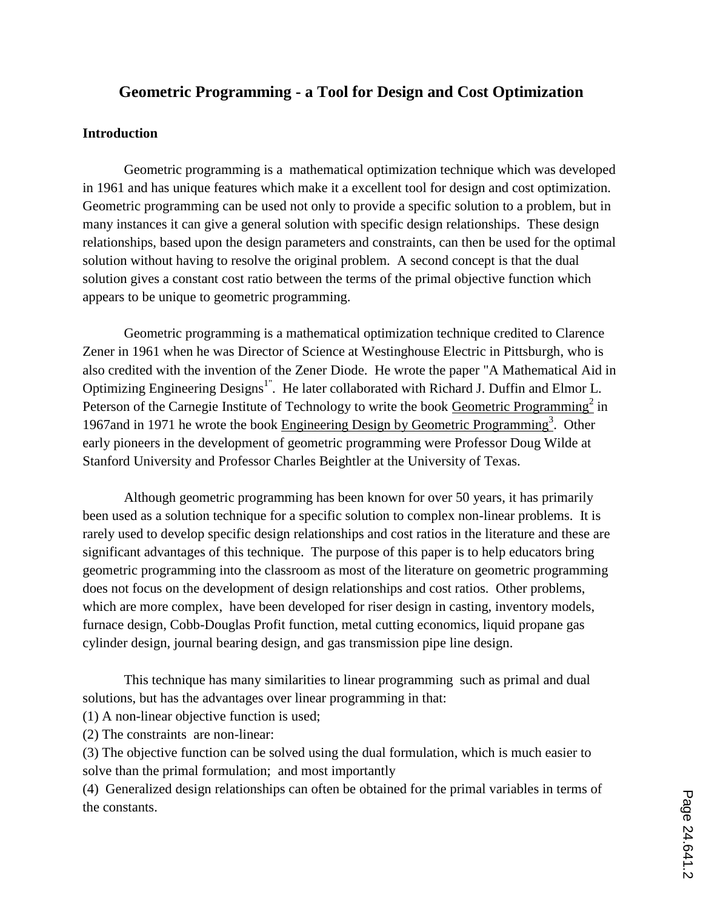# **Geometric Programming - a Tool for Design and Cost Optimization**

## **Introduction**

Geometric programming is a mathematical optimization technique which was developed in 1961 and has unique features which make it a excellent tool for design and cost optimization. Geometric programming can be used not only to provide a specific solution to a problem, but in many instances it can give a general solution with specific design relationships. These design relationships, based upon the design parameters and constraints, can then be used for the optimal solution without having to resolve the original problem. A second concept is that the dual solution gives a constant cost ratio between the terms of the primal objective function which appears to be unique to geometric programming.

Geometric programming is a mathematical optimization technique credited to Clarence Zener in 1961 when he was Director of Science at Westinghouse Electric in Pittsburgh, who is also credited with the invention of the Zener Diode. He wrote the paper "A Mathematical Aid in Optimizing Engineering Designs<sup>1"</sup>. He later collaborated with Richard J. Duffin and Elmor L. Peterson of the Carnegie Institute of Technology to write the book **Geometric Programming**<sup>2</sup> in 1967 and in 1971 he wrote the book Engineering Design by Geometric Programming<sup>3</sup>. Other early pioneers in the development of geometric programming were Professor Doug Wilde at Stanford University and Professor Charles Beightler at the University of Texas.

Although geometric programming has been known for over 50 years, it has primarily been used as a solution technique for a specific solution to complex non-linear problems. It is rarely used to develop specific design relationships and cost ratios in the literature and these are significant advantages of this technique. The purpose of this paper is to help educators bring geometric programming into the classroom as most of the literature on geometric programming does not focus on the development of design relationships and cost ratios. Other problems, which are more complex, have been developed for riser design in casting, inventory models, furnace design, Cobb-Douglas Profit function, metal cutting economics, liquid propane gas cylinder design, journal bearing design, and gas transmission pipe line design.

This technique has many similarities to linear programming such as primal and dual solutions, but has the advantages over linear programming in that:

(1) A non-linear objective function is used;

(2) The constraints are non-linear:

(3) The objective function can be solved using the dual formulation, which is much easier to solve than the primal formulation; and most importantly

(4) Generalized design relationships can often be obtained for the primal variables in terms of the constants.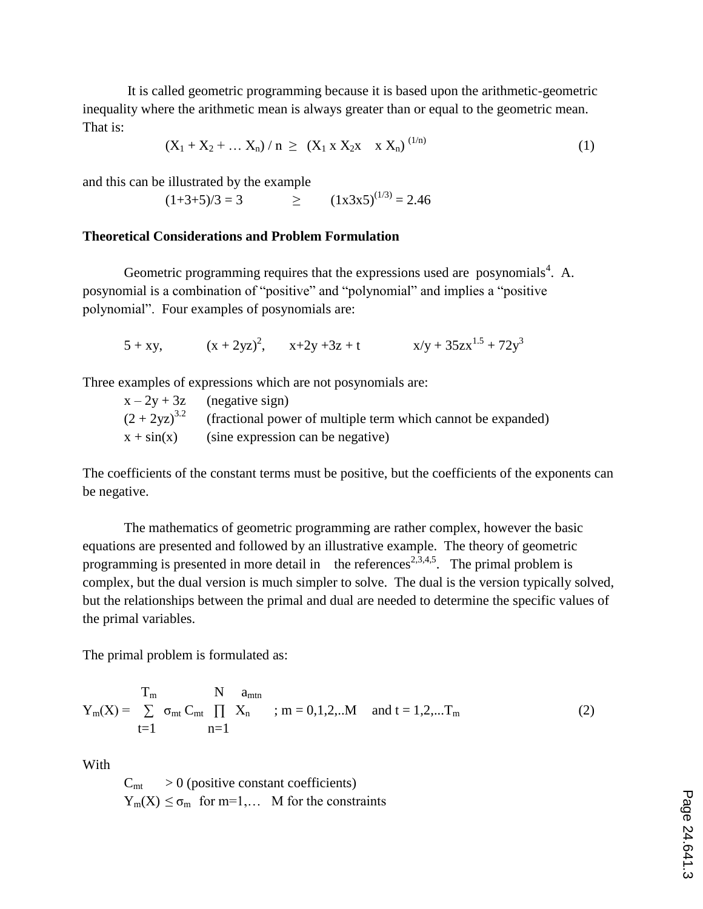It is called geometric programming because it is based upon the arithmetic-geometric inequality where the arithmetic mean is always greater than or equal to the geometric mean. That is:

$$
(X_1 + X_2 + \dots X_n) / n \ge (X_1 \times X_2 \times \times X_n)^{(1/n)}
$$
 (1)

and this can be illustrated by the example

$$
(1+3+5)/3 = 3 \qquad \qquad \geq \qquad (1 \times 3 \times 5)^{(1/3)} = 2.46
$$

## **Theoretical Considerations and Problem Formulation**

Geometric programming requires that the expressions used are posynomials<sup>4</sup>. A. posynomial is a combination of "positive" and "polynomial" and implies a "positive polynomial". Four examples of posynomials are:

$$
5 + xy
$$
,  $(x + 2yz)^2$ ,  $x+2y+3z + t$   $x/y + 35zx^{1.5} + 72y^3$ 

Three examples of expressions which are not posynomials are:

| $x - 2y + 3z$ (negative sign)                                                  |
|--------------------------------------------------------------------------------|
| $(2 + 2yz)^{3.2}$ (fractional power of multiple term which cannot be expanded) |
| $x + sin(x)$ (sine expression can be negative)                                 |

The coefficients of the constant terms must be positive, but the coefficients of the exponents can be negative.

The mathematics of geometric programming are rather complex, however the basic equations are presented and followed by an illustrative example. The theory of geometric programming is presented in more detail in the references<sup>2,3,4,5</sup>. The primal problem is complex, but the dual version is much simpler to solve. The dual is the version typically solved, but the relationships between the primal and dual are needed to determine the specific values of the primal variables.

The primal problem is formulated as:

$$
Y_{m}(X) = \sum_{t=1}^{T_{m}} \sigma_{mt} C_{mt} \prod_{n=1}^{N} X_{n} \quad ; m = 0, 1, 2, ...M \quad and \quad t = 1, 2, ...T_{m}
$$
 (2)

With

 $C<sub>mt</sub> > 0$  (positive constant coefficients)  $Y_m(X) \leq \sigma_m$  for m=1,... M for the constraints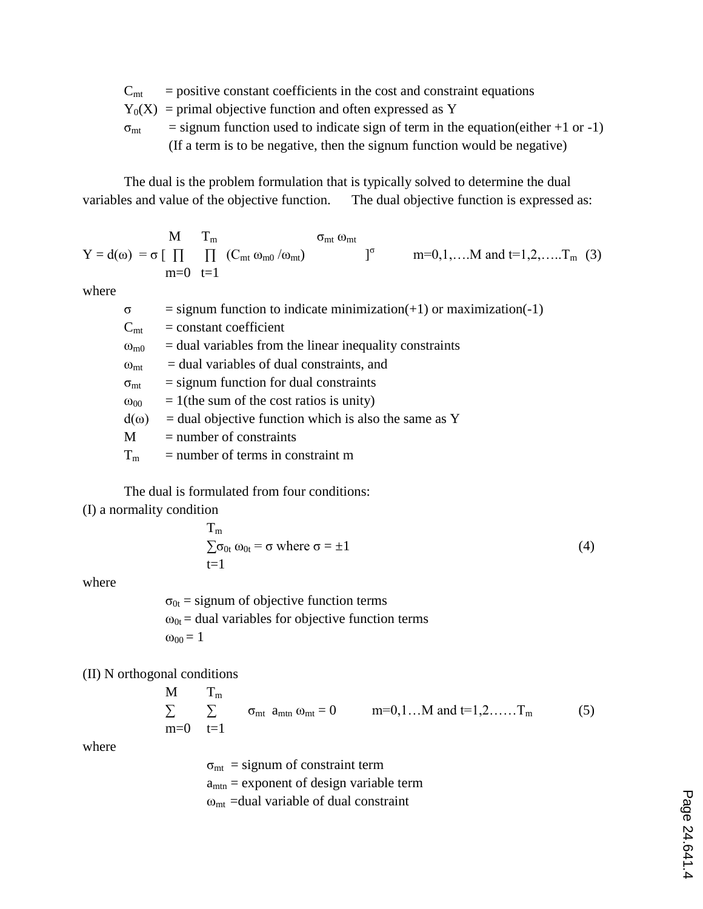- $C<sub>mt</sub>$  = positive constant coefficients in the cost and constraint equations
- $Y_0(X)$  = primal objective function and often expressed as Y
- $\sigma_{\text{mt}}$  = signum function used to indicate sign of term in the equation(either +1 or -1) (If a term is to be negative, then the signum function would be negative)

The dual is the problem formulation that is typically solved to determine the dual variables and value of the objective function. The dual objective function is expressed as:

$$
Y = d(\omega) = \sigma \begin{bmatrix} M & T_m \\ \prod_{m=0} & \prod_{t=1}^m & (C_{mt} \omega_{m0}/\omega_{mt}) \end{bmatrix}^{\sigma} \qquad m=0,1,\ldots M \text{ and } t=1,2,\ldots.T_m \text{ (3)}
$$

where

| $\sigma$          | $=$ signum function to indicate minimization(+1) or maximization(-1) |
|-------------------|----------------------------------------------------------------------|
| $C_{mt}$          | $=$ constant coefficient                                             |
| $\omega_{\rm m0}$ | $=$ dual variables from the linear inequality constraints            |
| $\omega_{mt}$     | $=$ dual variables of dual constraints, and                          |
| $\sigma_{mt}$     | $=$ signum function for dual constraints                             |
| $\omega_{00}$     | $= 1$ (the sum of the cost ratios is unity)                          |
| $d(\omega)$       | $=$ dual objective function which is also the same as Y              |
| M                 | $=$ number of constraints                                            |
| $T_m$             | $=$ number of terms in constraint m                                  |

The dual is formulated from four conditions: (I) a normality condition

$$
T_m
$$
  
\n
$$
\sum \sigma_{0t} \omega_{0t} = \sigma \text{ where } \sigma = \pm 1
$$
 (4)

where

 $\sigma_{0t}$  = signum of objective function terms  $\omega_{0t}$  = dual variables for objective function terms  $\omega_{00} = 1$ 

(II) N orthogonal conditions

$$
\begin{array}{ll}\nM & T_m \\
\sum_{m=0} \quad \sum_{t=1} \quad \sigma_{mt} \ a_{mtn} \ \omega_{mt} = 0 \quad m=0,1 \dots M \ \text{and} \ t=1,2, \dots \dots T_m\n\end{array}\n\tag{5}
$$

where

 $\sigma_{\text{mt}}$  = signum of constraint term  $a<sub>min</sub> =$  exponent of design variable term  $\omega_{\text{mt}}$  =dual variable of dual constraint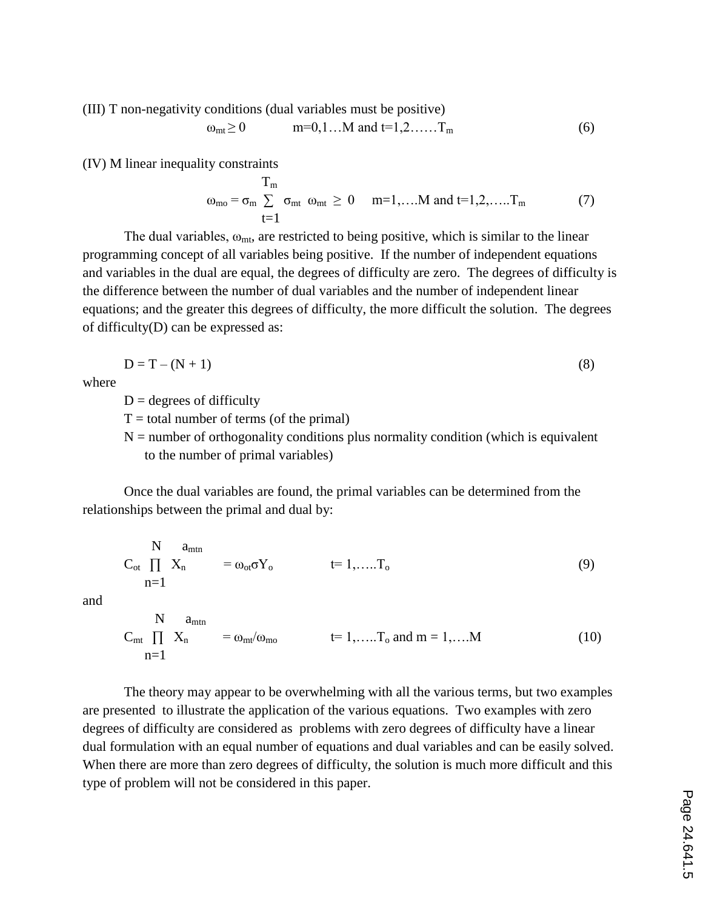(III) T non-negativity conditions (dual variables must be positive)

$$
\omega_{\rm mt} \ge 0
$$
 m=0,1...M and t=1,2......T<sub>m</sub> (6)

(IV) M linear inequality constraints

$$
\mathbf{u}_{\text{mo}} = \sigma_{\text{m}} \sum_{t=1}^{\text{T}_{\text{m}}} \sigma_{\text{mt}} \omega_{\text{mt}} \ge 0 \quad \text{m=1,...M and t=1,2,...\text{T}_{\text{m}}} \tag{7}
$$

The dual variables,  $\omega_{mt}$ , are restricted to being positive, which is similar to the linear programming concept of all variables being positive. If the number of independent equations and variables in the dual are equal, the degrees of difficulty are zero. The degrees of difficulty is the difference between the number of dual variables and the number of independent linear equations; and the greater this degrees of difficulty, the more difficult the solution. The degrees of difficulty(D) can be expressed as:

$$
D = T - (N + 1) \tag{8}
$$

where

 $D =$  degrees of difficulty

 $T =$  total number of terms (of the primal)

 $N =$  number of orthogonality conditions plus normality condition (which is equivalent to the number of primal variables)

Once the dual variables are found, the primal variables can be determined from the relationships between the primal and dual by:

$$
\begin{array}{ccc}\nN & a_{\text{mtn}} \\
C_{\text{ot}} \prod_{n=1}^{N} X_n & = \omega_{\text{ot}} \sigma Y_{\text{o}} & t=1, \dots. T_{\text{o}}\n\end{array} \tag{9}
$$

and

$$
\begin{array}{ccc}\nN & a_{\text{mtn}} \\
C_{\text{mt}} \prod_{n=1}^{m} X_n & = \omega_{\text{mt}}/\omega_{\text{mo}} & t = 1, \dots. T_0 \text{ and } m = 1, \dots. M\n\end{array} \tag{10}
$$

The theory may appear to be overwhelming with all the various terms, but two examples are presented to illustrate the application of the various equations. Two examples with zero degrees of difficulty are considered as problems with zero degrees of difficulty have a linear dual formulation with an equal number of equations and dual variables and can be easily solved. When there are more than zero degrees of difficulty, the solution is much more difficult and this type of problem will not be considered in this paper.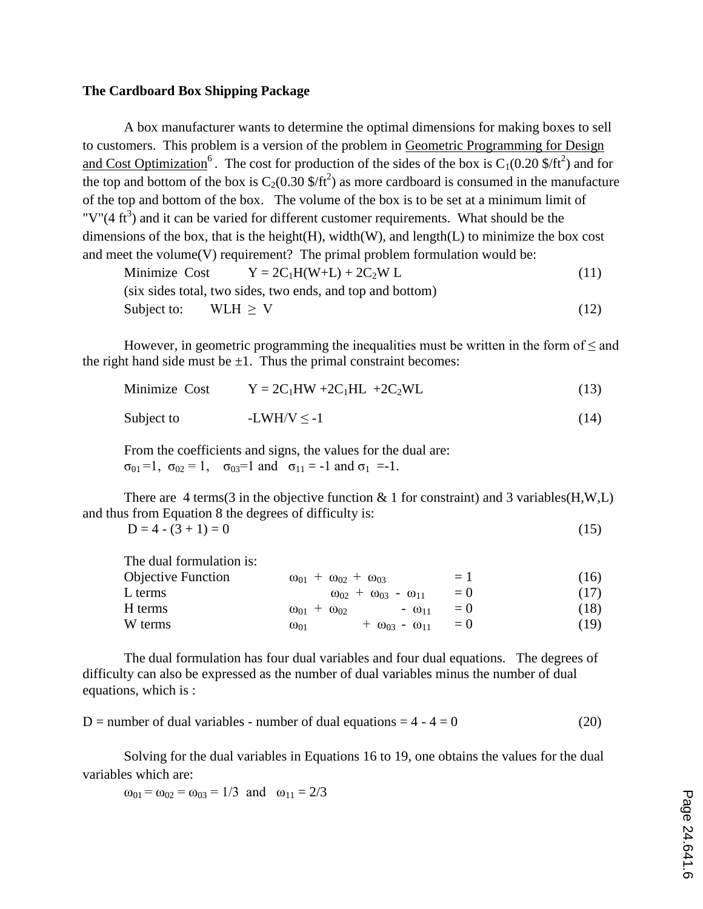#### **The Cardboard Box Shipping Package**

A box manufacturer wants to determine the optimal dimensions for making boxes to sell to customers. This problem is a version of the problem in Geometric Programming for Design and Cost Optimization<sup>6</sup>. The cost for production of the sides of the box is  $C_1(0.20 \text{ s/ft}^2)$  and for the top and bottom of the box is  $C_2(0.30 \text{ s/ft}^2)$  as more cardboard is consumed in the manufacture of the top and bottom of the box. The volume of the box is to be set at a minimum limit of "V"( $4 \text{ ft}^3$ ) and it can be varied for different customer requirements. What should be the dimensions of the box, that is the height(H), width(W), and length(L) to minimize the box cost and meet the volume $(V)$  requirement? The primal problem formulation would be:

Minimize Cost 
$$
Y = 2C_1H(W+L) + 2C_2W L
$$
 (11)  
(six sides total, two sides, two ends, and top and bottom)  
Subject to:  $WLH \ge V$  (12)

However, in geometric programming the inequalities must be written in the form of  $\leq$  and the right hand side must be  $\pm 1$ . Thus the primal constraint becomes:

| Minimize Cost | $Y = 2C_1HW + 2C_1HL + 2C_2WL$ | (13) |
|---------------|--------------------------------|------|
| Subject to    | $-LWH/V < -1$                  | (14) |

From the coefficients and signs, the values for the dual are:  $\sigma_{01} = 1$ ,  $\sigma_{02} = 1$ ,  $\sigma_{03} = 1$  and  $\sigma_{11} = -1$  and  $\sigma_{11} = -1$ .

There are 4 terms (3 in the objective function  $\&$  1 for constraint) and 3 variables (H, W, L) and thus from Equation 8 the degrees of difficulty is:

$$
D = 4 - (3 + 1) = 0 \tag{15}
$$

| The dual formulation is:  |                                                    |        |      |
|---------------------------|----------------------------------------------------|--------|------|
| <b>Objective Function</b> | $\omega_{01} + \omega_{02} + \omega_{03}$          | $=1$   | (16) |
| L terms                   | $\omega_{02}$ + $\omega_{03}$ - $\omega_{11}$      | $=$ () | (17) |
| H terms                   | $\omega_{01} + \omega_{02}$<br>$ 0_{11}$           | $=$ () | (18) |
| W terms                   | $+ \omega_{03} - \omega_{11} = 0$<br>$\omega_{01}$ |        | (19) |

The dual formulation has four dual variables and four dual equations. The degrees of difficulty can also be expressed as the number of dual variables minus the number of dual equations, which is :

 $D =$  number of dual variables - number of dual equations =  $4 - 4 = 0$  (20)

Solving for the dual variables in Equations 16 to 19, one obtains the values for the dual variables which are:

 $\omega_{01} = \omega_{02} = \omega_{03} = 1/3$  and  $\omega_{11} = 2/3$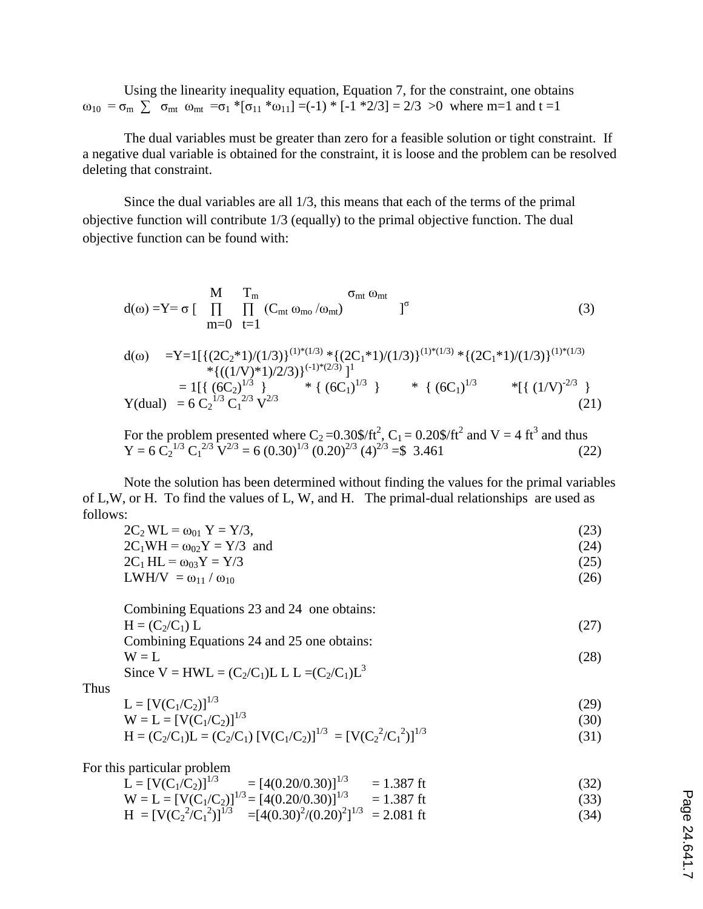Using the linearity inequality equation, Equation 7, for the constraint, one obtains  $ω_{10} = σ_m$   $\sum σ_{mt} ω_{mt} = σ_1 * [σ_{11} * ω_{11}] = (-1) * [-1 * 2/3] = 2/3 > 0$  where m=1 and t =1

The dual variables must be greater than zero for a feasible solution or tight constraint. If a negative dual variable is obtained for the constraint, it is loose and the problem can be resolved deleting that constraint.

Since the dual variables are all 1/3, this means that each of the terms of the primal objective function will contribute 1/3 (equally) to the primal objective function. The dual objective function can be found with:

$$
d(\omega) = Y = \sigma \left[ \prod_{m=0}^{M} \prod_{t=1}^{T_m} (C_{mt} \omega_{mo} / \omega_{mt}) \right]^{\sigma}
$$
 (3)

$$
d(\omega) = Y = 1\left[\left\{(2C_2 * 1)/(1/3)\right\}^{(1)*(1/3)} * \left\{(2C_1 * 1)/(1/3)\right\}^{(1)*(1/3)} * \left\{(2C_1 * 1)/(1/3)\right\}^{(1)*(1/3)} \right.\n\left. + \left\{(1/V)^*1)/2/3\right\}\right\}^{(-1)*(2/3)}\n\right]^{1}
$$
\n
$$
= 1\left[\left\{(6C_2)^{1/3}\right\} * \left\{(6C_1)^{1/3}\right\} * \left\{(6C_1)^{1/3} * \left\{(6C_1)^{1/3}\right\}^{(1)*(1/3)}\right\}\n\right]
$$
\n
$$
Y(dual) = 6C_2^{1/3} C_1^{2/3} V^{2/3}
$$
\n
$$
(21)
$$

For the problem presented where  $C_2 = 0.30\frac{\text{F}}{\text{F}^2}$ ,  $C_1 = 0.20\frac{\text{F}}{\text{F}^2}$  and  $V = 4 \text{ ft}^3$  and thus  $Y = 6 \overline{C_2}^{1/3} \overline{C_1}^{2/3} \overline{V}^{2/3} = 6 (0.30)^{1/3} (0.20)^{2/3} (4)^{2/3} = $3.461$  (22)

Note the solution has been determined without finding the values for the primal variables of L,W, or H. To find the values of L, W, and H. The primal-dual relationships are used as follows:

| $2C_2 WL = \omega_{01} Y = Y/3$ , | (23) |
|-----------------------------------|------|
| $2C_1WH = \omega_{02}Y = Y/3$ and | (24) |
| $2C_1 H L = \omega_{03} Y = Y/3$  | (25) |
| $LWH/V = \omega_{11}/\omega_{10}$ | (26) |

| Combining Equations 23 and 24 one obtains:      |      |
|-------------------------------------------------|------|
| $H = (C_2/C_1) L$                               | (27) |
| Combining Equations 24 and 25 one obtains:      |      |
| $W = L$                                         | (28) |
| Since $V = HWL = (C_2/C_1)L L L = (C_2/C_1)L^3$ |      |

Thus

$$
L = [V(C_1/C_2)]^{1/3}
$$
  
\n
$$
W = L = [V(C_1/C_2)]^{1/3}
$$
\n(29)

$$
H = (C_2/C_1)L = (C_2/C_1) [V(C_1/C_2)]^{1/3} = [V(C_2^2/C_1^2)]^{1/3}
$$
\n(31)

For this particular problem

| $L = [V(C_1/C_2)]^{1/3}$ | $=[4(0.20/0.30)]^{1/3}$ | $= 1.387$ ft | (32) |  |
|--------------------------|-------------------------|--------------|------|--|
|                          |                         |              |      |  |

 $W = L = [V(C_1/C_2)]^{1/3} = [4(0.20/0.30)]^{1/3} = 1.387$  ft (33)

$$
H = [V(C_2^2/C_1^2)]^{1/3} = [4(0.30)^2/(0.20)^2]^{1/3} = 2.081 \text{ ft}
$$
 (34)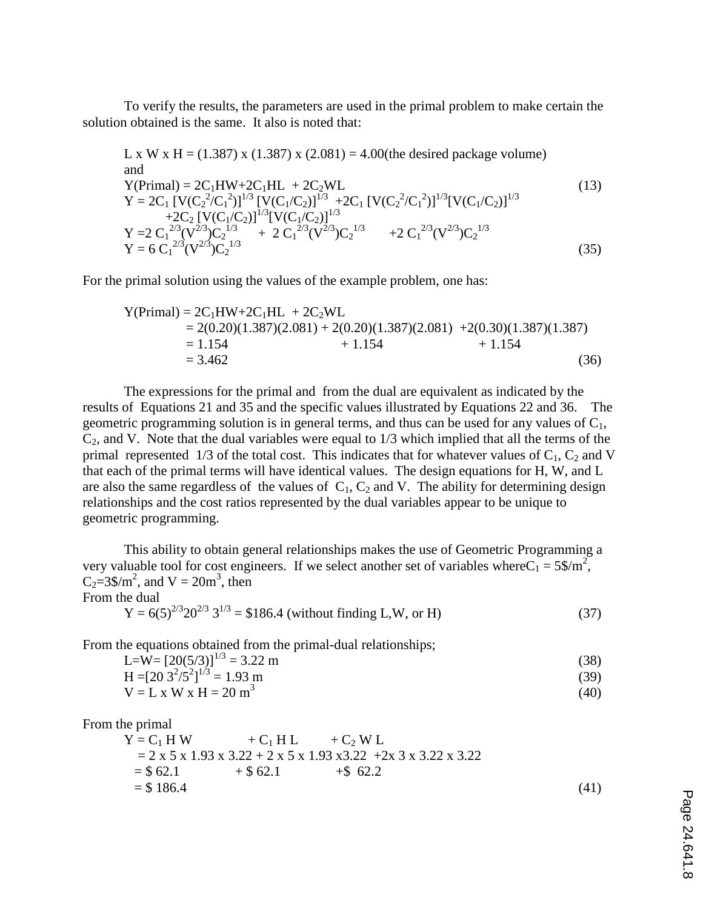To verify the results, the parameters are used in the primal problem to make certain the solution obtained is the same. It also is noted that:

L x W x H = (1.387) x (1.387) x (2.081) = 4.00(the desired package volume) and Y(Primal) = 2C1HW+2C1HL + 2C2WL (13) Y = 2C<sup>1</sup> [V(C<sup>2</sup> 2 /C<sup>1</sup> 2 )]1/3 [V(C1/C2)]1/3 +2C<sup>1</sup> [V(C<sup>2</sup> 2 /C<sup>1</sup> 2 )]1/3[V(C1/C2)]1/3 +2C<sup>2</sup> [V(C1/C2)]1/3[V(C1/C2)]1/3 Y =2 C<sup>1</sup> 2/3(V 2/3)C<sup>2</sup> 1/3 + 2 C<sup>1</sup> 2/3(V 2/3)C<sup>2</sup> 1/3 +2 C<sup>1</sup> 2/3(V 2/3)C<sup>2</sup> 1/3 Y = 6 C<sup>1</sup> 2/3(V 2/3)C<sup>2</sup> 1/3 (35)

For the primal solution using the values of the example problem, one has:

$$
Y(Primal) = 2C_1HW + 2C_1HL + 2C_2WL
$$
  
= 2(0.20)(1.387)(2.081) + 2(0.20)(1.387)(2.081) + 2(0.30)(1.387)(1.387)  
= 1.154 + 1.154 + 1.154 (36)

The expressions for the primal and from the dual are equivalent as indicated by the results of Equations 21 and 35 and the specific values illustrated by Equations 22 and 36. The geometric programming solution is in general terms, and thus can be used for any values of  $C_1$ ,  $C_2$ , and V. Note that the dual variables were equal to  $1/3$  which implied that all the terms of the primal represented 1/3 of the total cost. This indicates that for whatever values of  $C_1$ ,  $C_2$  and V that each of the primal terms will have identical values. The design equations for H, W, and L are also the same regardless of the values of  $C_1$ ,  $C_2$  and V. The ability for determining design relationships and the cost ratios represented by the dual variables appear to be unique to geometric programming.

This ability to obtain general relationships makes the use of Geometric Programming a very valuable tool for cost engineers. If we select another set of variables where  $C_1 = 5\frac{\text{m}}{2}$ ,  $C_2 = 3\$/m^2$ , and  $V = 20m^3$ , then From the dual

$$
Y = 6(5)^{2/3} 20^{2/3} 3^{1/3} = $186.4 \text{ (without finding L, W, or H)}
$$
 (37)

From the equations obtained from the primal-dual relationships;

| L= $W = [20(5/3)]^{1/3} = 3.22$ m |  |  | (38) |
|-----------------------------------|--|--|------|
|                                   |  |  |      |

$$
H = [20 \ 3^{2}/5^{2}]^{1/3} = 1.93 \text{ m}
$$
  
\n
$$
V = L \times W \times H = 20 \text{ m}^{3}
$$
 (39)

From the primal

$$
Y = C1 H W + C1 H L + C2 W L
$$
  
= 2 x 5 x 1.93 x 3.22 + 2 x 5 x 1.93 x 3.22 +2x 3 x 3.22 x 3.22  
= \$ 62.1 + \$ 62.1 + \$ 62.2  
= \$ 186.4 (41)

Page 24.641.8 Page 24.641.8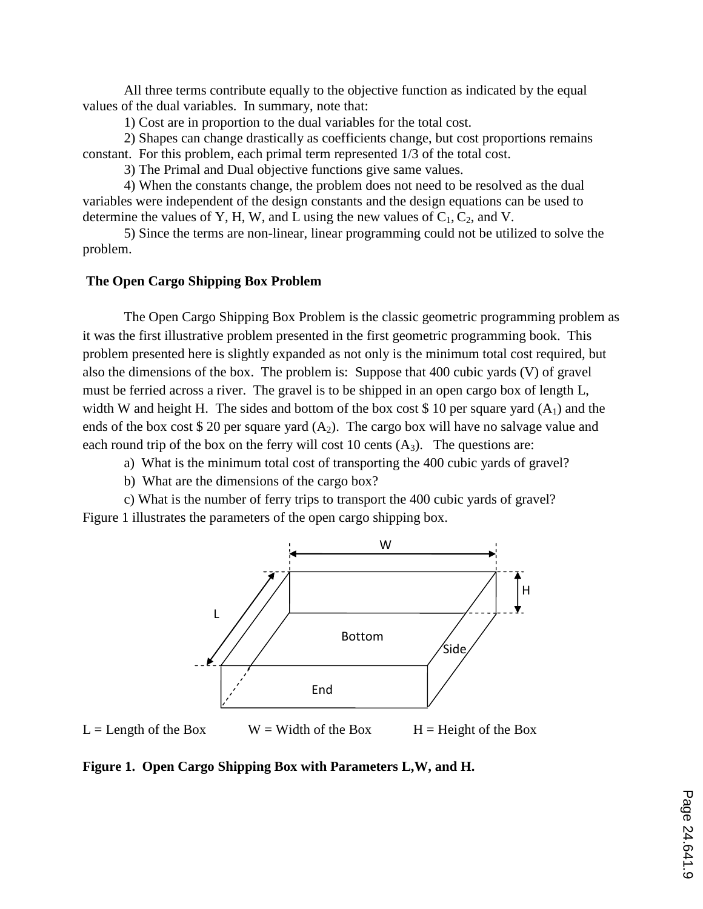All three terms contribute equally to the objective function as indicated by the equal values of the dual variables. In summary, note that:

1) Cost are in proportion to the dual variables for the total cost.

2) Shapes can change drastically as coefficients change, but cost proportions remains constant. For this problem, each primal term represented 1/3 of the total cost.

3) The Primal and Dual objective functions give same values.

4) When the constants change, the problem does not need to be resolved as the dual variables were independent of the design constants and the design equations can be used to determine the values of Y, H, W, and L using the new values of  $C_1, C_2$ , and V.

5) Since the terms are non-linear, linear programming could not be utilized to solve the problem.

## **The Open Cargo Shipping Box Problem**

The Open Cargo Shipping Box Problem is the classic geometric programming problem as it was the first illustrative problem presented in the first geometric programming book. This problem presented here is slightly expanded as not only is the minimum total cost required, but also the dimensions of the box. The problem is: Suppose that 400 cubic yards (V) of gravel must be ferried across a river. The gravel is to be shipped in an open cargo box of length L, width W and height H. The sides and bottom of the box cost \$ 10 per square yard  $(A_1)$  and the ends of the box cost \$ 20 per square yard  $(A_2)$ . The cargo box will have no salvage value and each round trip of the box on the ferry will cost 10 cents  $(A_3)$ . The questions are:

- a) What is the minimum total cost of transporting the 400 cubic yards of gravel?
- b) What are the dimensions of the cargo box?

c) What is the number of ferry trips to transport the 400 cubic yards of gravel? Figure 1 illustrates the parameters of the open cargo shipping box.



 $L =$  Length of the Box  $W =$  Width of the Box  $H =$  Height of the Box

**Figure 1. Open Cargo Shipping Box with Parameters L,W, and H.**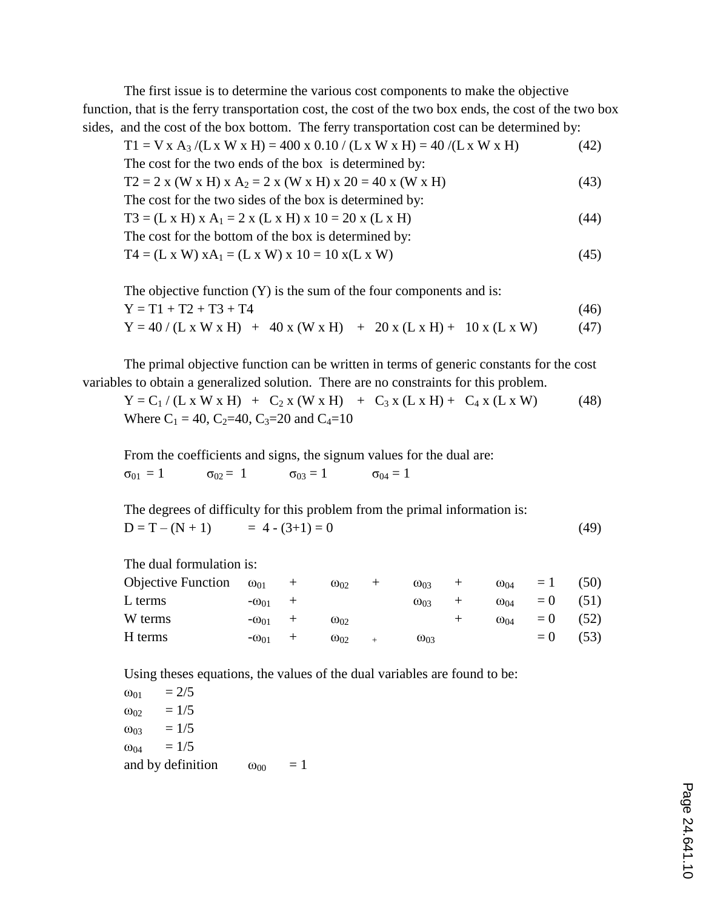The first issue is to determine the various cost components to make the objective function, that is the ferry transportation cost, the cost of the two box ends, the cost of the two box sides, and the cost of the box bottom. The ferry transportation cost can be determined by:

 $T1 = V x A_3 / (L x W x H) = 400 x 0.10 / (L x W x H) = 40 / (L x W x H)$  (42) The cost for the two ends of the box is determined by:  $T2 = 2$  x (W x H) x A<sub>2</sub> = 2 x (W x H) x 20 = 40 x (W x H) (43) The cost for the two sides of the box is determined by:  $T3 = (L \times H) \times A_1 = 2 \times (L \times H) \times 10 = 20 \times (L \times H)$  (44) The cost for the bottom of the box is determined by:  $T4 = (L \times W) \times A_1 = (L \times W) \times 10 = 10 \times (L \times W)$  (45)

The objective function  $(Y)$  is the sum of the four components and is:  $Y = T1 + T2 + T3 + T4$  (46)  $Y = 40 / (L \times W \times H) + 40 \times (W \times H) + 20 \times (L \times H) + 10 \times (L \times W)$  (47)

The primal objective function can be written in terms of generic constants for the cost variables to obtain a generalized solution. There are no constraints for this problem.

 $Y = C_1 / (L \times W \times H) + C_2 \times (W \times H) + C_3 \times (L \times H) + C_4 \times (L \times W)$  (48) Where  $C_1 = 40$ ,  $C_2 = 40$ ,  $C_3 = 20$  and  $C_4 = 10$ 

From the coefficients and signs, the signum values for the dual are:  $\sigma_{01} = 1$   $\sigma_{02} = 1$   $\sigma_{03} = 1$   $\sigma_{04} = 1$ 

The degrees of difficulty for this problem from the primal information is:  $D = T - (N + 1) = 4 - (3 + 1) = 0$  (49)

| The dual formulation is:  |                |        |               |                |               |        |               |        |      |
|---------------------------|----------------|--------|---------------|----------------|---------------|--------|---------------|--------|------|
| <b>Objective Function</b> | $\omega_{01}$  | $^{+}$ | $\omega_{02}$ | $^+$           | $\omega_{03}$ | $+$    | $\omega_{04}$ | $=1$   | (50) |
| L terms                   | $-\omega_{01}$ | $^{+}$ |               |                | $\omega_{03}$ |        | $\omega_{04}$ | $= 0$  | (51) |
| W terms                   | $-\omega_{01}$ | $^{+}$ | $\omega_{02}$ |                |               | $^{+}$ | $\omega_{04}$ | $= 0$  | (52) |
| H terms                   | $-\omega_{01}$ | $^{+}$ | $\omega_{02}$ | $\overline{+}$ | $\omega_{03}$ |        |               | $=$ () | (53) |
|                           |                |        |               |                |               |        |               |        |      |

Using theses equations, the values of the dual variables are found to be:

 $ω_{01}$  = 2/5  $ω_{02} = 1/5$  $ω_{03}$  = 1/5  $\omega_{04} = 1/5$ and by definition  $\omega_{00} = 1$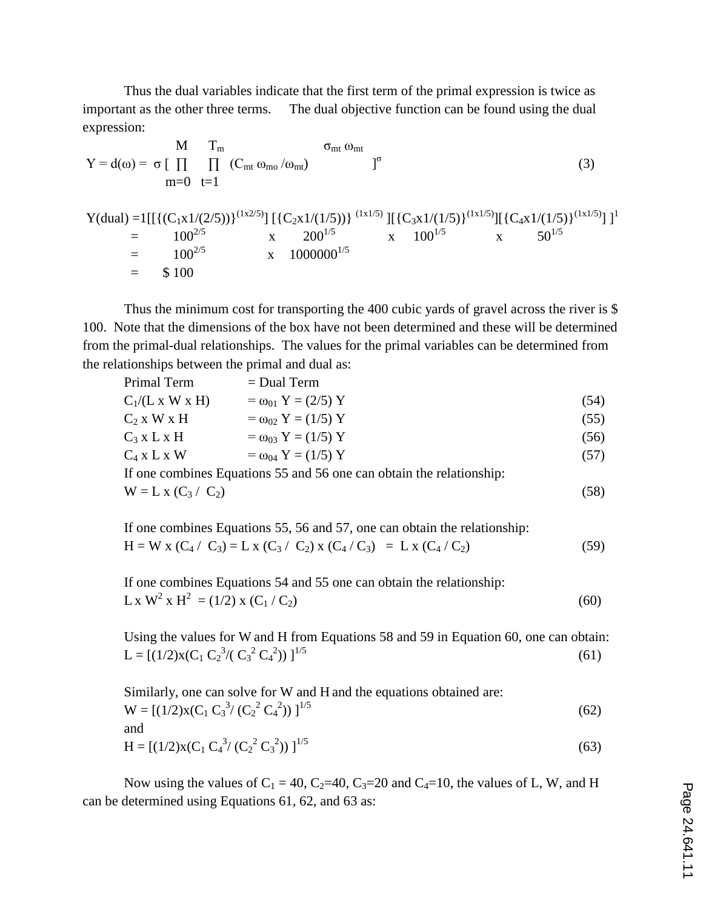Thus the dual variables indicate that the first term of the primal expression is twice as important as the other three terms. The dual objective function can be found using the dual expression:

$$
Y = d(\omega) = \sigma \left[ \prod_{m=0}^{M} \prod_{t=1}^{T_m} (C_{mt} \omega_{m\omega}/\omega_{mt}) \right]^\sigma
$$
(3)  
\nm=0 t=1  
\n
$$
Y(dual) = 1[[(C_1x1/(2/5))]^{(1x2/5)}] [(C_2x1/(1/5))]^{(1x1/5)}] [(C_3x1/(1/5)]^{(1x1/5)}] [(C_4x1/(1/5)]^{(1x1/5)}] ]^1
$$
  
\n
$$
= 100^{2/5} \times 200^{1/5} \times 100^{1/5} \times 50^{1/5}
$$
  
\n
$$
= 100^{2/5} \times 100
$$
(6)  
\n
$$
= 100^{2/5} \times 100
$$
(6)  
\n
$$
= 100^{2/5} \times 100
$$
(6)  
\n
$$
= 100^{2/5} \times 100
$$
(6)  
\n
$$
= 100^{2/5} \times 100
$$
(6)  
\n
$$
= 100^{2/5} \times 100
$$
(6)  
\n
$$
= 100^{2/5} \times 100
$$
(6)  
\n
$$
= 100^{2/5} \times 100
$$
(6)  
\n
$$
= 100^{2/5} \times 100^{1/5}
$$

Thus the minimum cost for transporting the 400 cubic yards of gravel across the river is \$ 100. Note that the dimensions of the box have not been determined and these will be determined from the primal-dual relationships. The values for the primal variables can be determined from the relationships between the primal and dual as:

| Primal Term           | $=$ Dual Term                                                        |      |
|-----------------------|----------------------------------------------------------------------|------|
| $C_1/(L x W x H)$     | $= \omega_{01} Y = (2/5) Y$                                          | (54) |
| $C_2$ x W x H         | $= \omega_{02} Y = (1/5) Y$                                          | (55) |
| $C_3$ x L x H         | $= \omega_{03} Y = (1/5) Y$                                          | (56) |
| $C_4$ x L x W         | $= \omega_{04} Y = (1/5) Y$                                          | (57) |
|                       | If one combines Equations 55 and 56 one can obtain the relationship: |      |
| $W = L x (C_3 / C_2)$ |                                                                      | (58) |

| If one combines Equations 55, 56 and 57, one can obtain the relationship: |      |
|---------------------------------------------------------------------------|------|
| $H = W x (C_4 / C_3) = L x (C_3 / C_2) x (C_4 / C_3) = L x (C_4 / C_2)$   | (59) |

If one combines Equations 54 and 55 one can obtain the relationship:  $\text{L x W}^2 \text{ x H}^2 = (1/2) \text{ x } (\text{C}_1 / \text{C}_2)$  (60)

Using the values for W and H from Equations 58 and 59 in Equation 60, one can obtain: L =  $[(1/2)x(C_1 C_2^3/(C_3^2 C_4^2$ ))  $\int_1^{1/5}$  (61)

| Similarly, one can solve for W and H and the equations obtained are: |      |
|----------------------------------------------------------------------|------|
| $W = [(1/2)x(C_1 C_3^3/(C_2^2 C_4^2))]^{1/5}$                        | (62) |
| and                                                                  |      |

$$
H = [(1/2)x(C_1 C_4^3/(C_2^2 C_3^2))]^{1/5}
$$
\n(63)

Now using the values of  $C_1 = 40$ ,  $C_2 = 40$ ,  $C_3 = 20$  and  $C_4 = 10$ , the values of L, W, and H can be determined using Equations 61, 62, and 63 as: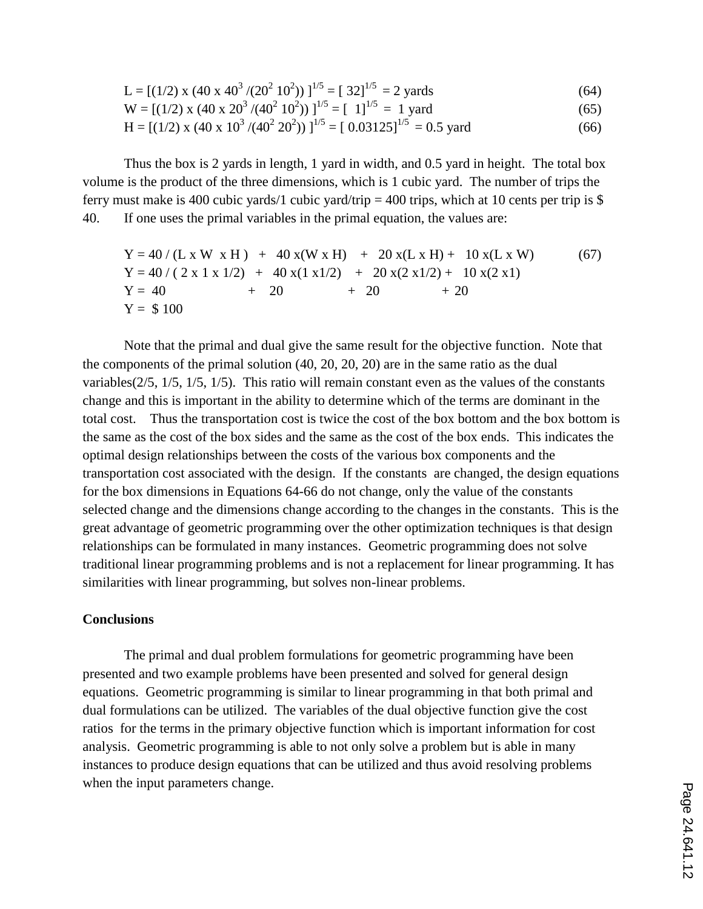$$
L = [(1/2) x (40 x 403 / (202 102))]1/5 = [32]1/5 = 2 yards
$$
 (64)

$$
W = [(1/2) x (40 x 203 / (402 102))]1/5 = [1]1/5 = 1 yard
$$
 (65)

$$
H = [(1/2) x (40 x 103 / (402 202))]1/5 = [0.03125]1/5 = 0.5 \text{ yard}
$$
 (66)

Thus the box is 2 yards in length, 1 yard in width, and 0.5 yard in height. The total box volume is the product of the three dimensions, which is 1 cubic yard. The number of trips the ferry must make is 400 cubic yards/1 cubic yard/trip = 400 trips, which at 10 cents per trip is \$ 40. If one uses the primal variables in the primal equation, the values are:

$$
Y = 40 / (L x W x H) + 40 x(W x H) + 20 x(L x H) + 10 x(L x W)
$$
(67)  
\n
$$
Y = 40 / (2 x 1 x 1/2) + 40 x(1 x 1/2) + 20 x(2 x 1/2) + 10 x(2 x 1)
$$
  
\n
$$
Y = 40 + 20 + 20 + 20
$$
  
\n
$$
Y = $100
$$

Note that the primal and dual give the same result for the objective function. Note that the components of the primal solution (40, 20, 20, 20) are in the same ratio as the dual variables(2/5, 1/5, 1/5, 1/5). This ratio will remain constant even as the values of the constants change and this is important in the ability to determine which of the terms are dominant in the total cost. Thus the transportation cost is twice the cost of the box bottom and the box bottom is the same as the cost of the box sides and the same as the cost of the box ends. This indicates the optimal design relationships between the costs of the various box components and the transportation cost associated with the design. If the constants are changed, the design equations for the box dimensions in Equations 64-66 do not change, only the value of the constants selected change and the dimensions change according to the changes in the constants. This is the great advantage of geometric programming over the other optimization techniques is that design relationships can be formulated in many instances. Geometric programming does not solve traditional linear programming problems and is not a replacement for linear programming. It has similarities with linear programming, but solves non-linear problems.

### **Conclusions**

The primal and dual problem formulations for geometric programming have been presented and two example problems have been presented and solved for general design equations. Geometric programming is similar to linear programming in that both primal and dual formulations can be utilized. The variables of the dual objective function give the cost ratios for the terms in the primary objective function which is important information for cost analysis. Geometric programming is able to not only solve a problem but is able in many instances to produce design equations that can be utilized and thus avoid resolving problems when the input parameters change.